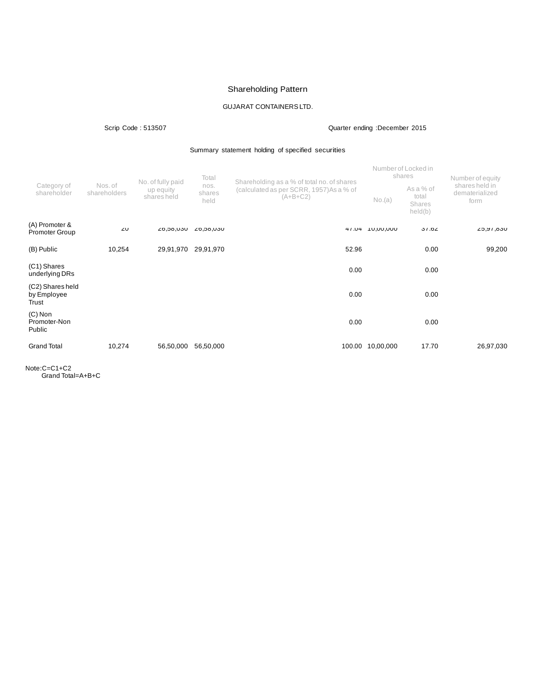# Shareholding Pattern

# GUJARAT CONTAINERSLTD.

Scrip Code : 513507 Quarter ending :December 2015

Summary statement holding of specified securities

| Category of<br>shareholder               |                         | No. of fully paid<br>up equity<br>shares held | Total<br>nos.<br>shares<br>held | Shareholding as a % of total no. of shares             |                  | Number of Locked in<br>shares           | Number of equity                         |
|------------------------------------------|-------------------------|-----------------------------------------------|---------------------------------|--------------------------------------------------------|------------------|-----------------------------------------|------------------------------------------|
|                                          | Nos. of<br>shareholders |                                               |                                 | (calculated as per SCRR, 1957) As a % of<br>$(A+B+C2)$ | No.(a)           | As a % of<br>total<br>Shares<br>held(b) | shares held in<br>dematerialized<br>form |
| (A) Promoter &<br><b>Promoter Group</b>  | 20                      | UCU, ÖC, 02                                   | UCU, ÖC, ÖZ                     | 41.04                                                  | <b>UUU,UU,UU</b> | 31.02                                   | L5, N6, CL                               |
| (B) Public                               | 10,254                  | 29,91,970                                     | 29,91,970                       | 52.96                                                  |                  | 0.00                                    | 99,200                                   |
| (C1) Shares<br>underlying DRs            |                         |                                               |                                 | 0.00                                                   |                  | 0.00                                    |                                          |
| (C2) Shares held<br>by Employee<br>Trust |                         |                                               |                                 | 0.00                                                   |                  | 0.00                                    |                                          |
| $(C)$ Non<br>Promoter-Non<br>Public      |                         |                                               |                                 | 0.00                                                   |                  | 0.00                                    |                                          |
| <b>Grand Total</b>                       | 10,274                  | 56,50,000                                     | 56,50,000                       | 100.00                                                 | 10,00,000        | 17.70                                   | 26,97,030                                |

Note:C=C1+C2 Grand Total=A+B+C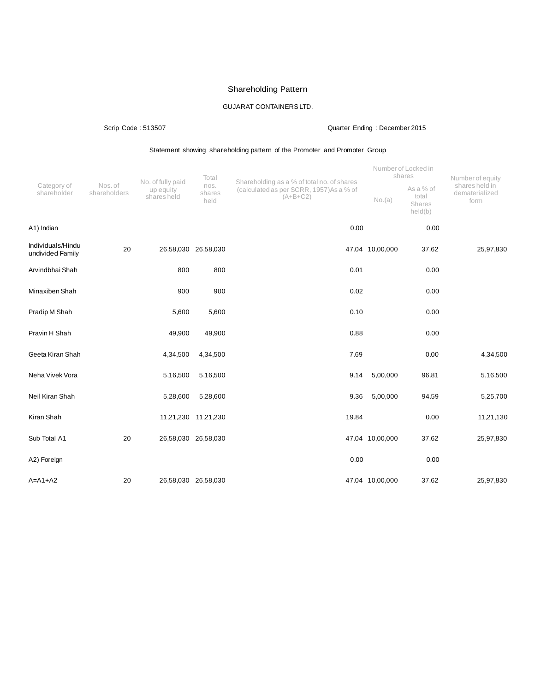# Shareholding Pattern

# GUJARAT CONTAINERSLTD.

# Scrip Code : 513507 Quarter Ending : December 2015

# Statement showing shareholding pattern of the Promoter and Promoter Group

|                                       | Nos. of<br>shareholders | No. of fully paid        | Total                  | Shareholding as a % of total no. of shares            |                 | Number of Locked in<br>shares           | Number of equity                         |
|---------------------------------------|-------------------------|--------------------------|------------------------|-------------------------------------------------------|-----------------|-----------------------------------------|------------------------------------------|
| Category of<br>shareholder            |                         | up equity<br>shares held | nos.<br>shares<br>held | (calculated as per SCRR, 1957)As a % of<br>$(A+B+C2)$ | No.(a)          | As a % of<br>total<br>Shares<br>held(b) | shares held in<br>dematerialized<br>form |
| A1) Indian                            |                         |                          |                        | 0.00                                                  |                 | 0.00                                    |                                          |
| Individuals/Hindu<br>undivided Family | 20                      | 26,58,030 26,58,030      |                        |                                                       | 47.04 10,00,000 | 37.62                                   | 25,97,830                                |
| Arvindbhai Shah                       |                         | 800                      | 800                    | 0.01                                                  |                 | 0.00                                    |                                          |
| Minaxiben Shah                        |                         | 900                      | 900                    | 0.02                                                  |                 | 0.00                                    |                                          |
| Pradip M Shah                         |                         | 5,600                    | 5,600                  | 0.10                                                  |                 | 0.00                                    |                                          |
| Pravin H Shah                         |                         | 49,900                   | 49,900                 | 0.88                                                  |                 | 0.00                                    |                                          |
| Geeta Kiran Shah                      |                         | 4,34,500                 | 4,34,500               | 7.69                                                  |                 | 0.00                                    | 4,34,500                                 |
| Neha Vivek Vora                       |                         | 5,16,500                 | 5,16,500               | 9.14                                                  | 5,00,000        | 96.81                                   | 5,16,500                                 |
| Neil Kiran Shah                       |                         | 5,28,600                 | 5,28,600               | 9.36                                                  | 5,00,000        | 94.59                                   | 5,25,700                                 |
| Kiran Shah                            |                         |                          | 11,21,230 11,21,230    | 19.84                                                 |                 | 0.00                                    | 11,21,130                                |
| Sub Total A1                          | 20                      |                          | 26,58,030 26,58,030    |                                                       | 47.04 10,00,000 | 37.62                                   | 25,97,830                                |
| A2) Foreign                           |                         |                          |                        | 0.00                                                  |                 | 0.00                                    |                                          |
| $A=A1+A2$                             | 20                      |                          | 26,58,030 26,58,030    |                                                       | 47.04 10,00,000 | 37.62                                   | 25,97,830                                |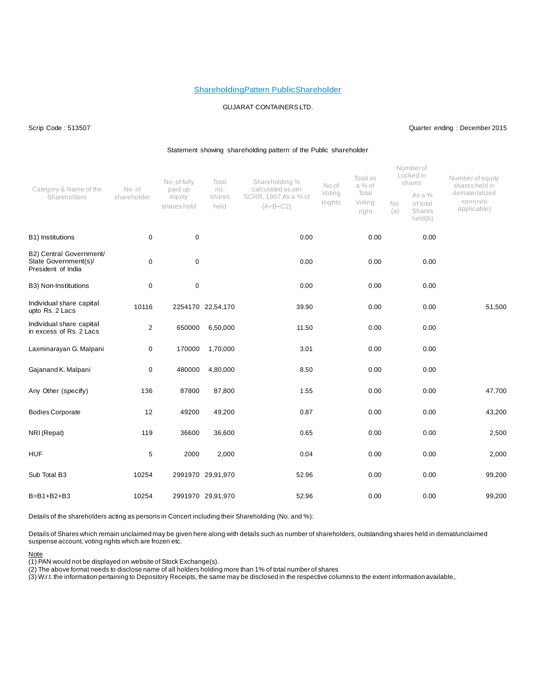### ShareholdingPattern PublicShareholder

### GUJARAT CONTAINERSLTD.

### Scrip Code : 513507 Quarter ending : December 2015

#### Statement showing shareholding pattern of the Public shareholder

| Category & Name of the<br>Shareholders                                | No. of<br>shareholder | No. of fully<br>paid up<br>equity<br>shares held | Total<br>no.<br>shares<br>held | Shareholding %<br>calculated as per<br>SCRR, 1957 As a % of<br>$(A+B+C2)$ | No of<br>Voting<br>Rights | Total as<br>a % of<br>Total<br>Voting<br>right | No.<br>(a) | Numberof<br>Locked in<br>shares<br>As a %<br>of total<br>Shares<br>held(b) | Number of equity<br>shares held in<br>dematerialized<br>TOTM(INOT<br>Applicable) |
|-----------------------------------------------------------------------|-----------------------|--------------------------------------------------|--------------------------------|---------------------------------------------------------------------------|---------------------------|------------------------------------------------|------------|----------------------------------------------------------------------------|----------------------------------------------------------------------------------|
| B1) Institutions                                                      | 0                     | $\mathbf 0$                                      |                                | 0.00                                                                      |                           | 0.00                                           |            | 0.00                                                                       |                                                                                  |
| B2) Central Government/<br>State Government(s)/<br>President of India | 0                     | $\pmb{0}$                                        |                                | 0.00                                                                      |                           | 0.00                                           |            | 0.00                                                                       |                                                                                  |
| B3) Non-Institutions                                                  | $\mathbf 0$           | $\pmb{0}$                                        |                                | 0.00                                                                      |                           | 0.00                                           |            | 0.00                                                                       |                                                                                  |
| Individual share capital<br>upto Rs. 2 Lacs                           | 10116                 |                                                  | 2254170 22,54,170              | 39.90                                                                     |                           | 0.00                                           |            | 0.00                                                                       | 51,500                                                                           |
| Individual share capital<br>in excess of Rs. 2 Lacs                   | $\overline{2}$        | 650000                                           | 6,50,000                       | 11.50                                                                     |                           | 0.00                                           |            | 0.00                                                                       |                                                                                  |
| Laxminarayan G. Malpani                                               | 0                     | 170000                                           | 1,70,000                       | 3.01                                                                      |                           | 0.00                                           |            | 0.00                                                                       |                                                                                  |
| Gajanand K. Malpani                                                   | 0                     | 480000                                           | 4,80,000                       | 8.50                                                                      |                           | 0.00                                           |            | 0.00                                                                       |                                                                                  |
| Any Other (specify)                                                   | 136                   | 87800                                            | 87,800                         | 1.55                                                                      |                           | 0.00                                           |            | 0.00                                                                       | 47,700                                                                           |
| <b>Bodies Corporate</b>                                               | 12                    | 49200                                            | 49,200                         | 0.87                                                                      |                           | 0.00                                           |            | 0.00                                                                       | 43,200                                                                           |
| NRI (Repat)                                                           | 119                   | 36600                                            | 36,600                         | 0.65                                                                      |                           | 0.00                                           |            | 0.00                                                                       | 2,500                                                                            |
| <b>HUF</b>                                                            | 5                     | 2000                                             | 2,000                          | 0.04                                                                      |                           | 0.00                                           |            | 0.00                                                                       | 2,000                                                                            |
| Sub Total B3                                                          | 10254                 |                                                  | 2991970 29,91,970              | 52.96                                                                     |                           | 0.00                                           |            | 0.00                                                                       | 99,200                                                                           |
| B=B1+B2+B3                                                            | 10254                 |                                                  | 2991970 29,91,970              | 52.96                                                                     |                           | 0.00                                           |            | 0.00                                                                       | 99,200                                                                           |

Details of the shareholders acting as persons in Concert including their Shareholding (No. and %):

Details of Shares which remain unclaimed may be given here along with details such as number of shareholders, outstanding shares held in demat/unclaimed suspense account, voting rights which are frozen etc.

### Note

(1) PAN would not be displayed on website of Stock Exchange(s).

(2) The above format needs to disclose name of all holders holding more than 1% of total number of shares

(3) W.r.t. the information pertaining to Depository Receipts, the same may be disclosed in the respective columns to the extent information available,.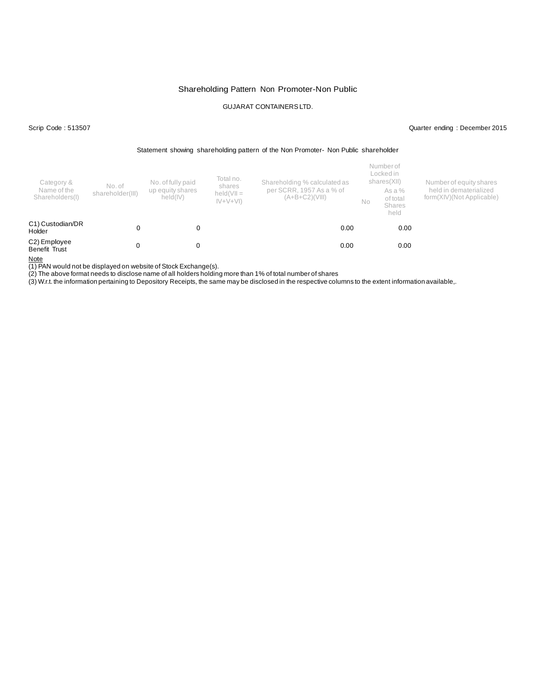# Shareholding Pattern Non Promoter-Non Public

# GUJARAT CONTAINERSLTD.

Scrip Code : 513507 Quarter ending : December 2015

#### Statement showing shareholding pattern of the Non Promoter- Non Public shareholder

| Category &<br>Name of the<br>Shareholders(I) | No. of<br>shareholder(III) | No. of fully paid<br>up equity shares<br>held(IV) | Total no.<br>shares<br>$held(VII =$<br>$ V+V+V $ | Shareholding % calculated as<br>per SCRR, 1957 As a % of<br>(A+B+C2)(VIII) | No | Number of<br>Locked in<br>shares(XII)<br>As a %<br>of total<br><b>Shares</b><br>held | Number of equity shares<br>held in dematerialized<br>form(XIV)(Not Applicable) |
|----------------------------------------------|----------------------------|---------------------------------------------------|--------------------------------------------------|----------------------------------------------------------------------------|----|--------------------------------------------------------------------------------------|--------------------------------------------------------------------------------|
| C1) Custodian/DR<br>Holder                   |                            |                                                   |                                                  | 0.00                                                                       |    | 0.00                                                                                 |                                                                                |
| C2) Employee<br>Benefit Trust                |                            |                                                   |                                                  | 0.00                                                                       |    | 0.00                                                                                 |                                                                                |

Note

(1) PAN would not be displayed on website of Stock Exchange(s).

(2) The above format needs to disclose name of all holders holding more than 1% of total number of shares

(3) W.r.t. the information pertaining to Depository Receipts, the same may be disclosed in the respective columns to the extent information available,.